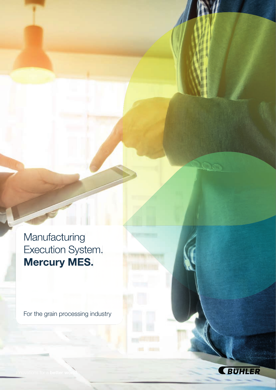Manufacturing Execution System. Mercury MES.

For the grain processing industry

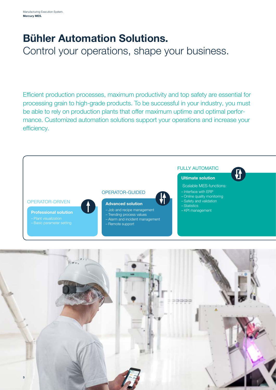### Bühler Automation Solutions.

Control your operations, shape your business.

Efficient production processes, maximum productivity and top safety are essential for processing grain to high-grade products. To be successful in your industry, you must be able to rely on production plants that offer maximum uptime and optimal performance. Customized automation solutions support your operations and increase your efficiency.



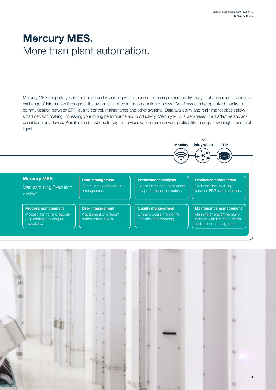### Mercury MES. More than plant automation.

Mercury MES supports you in controlling and visualizing your processes in a simple and intuitive way. It also enables a seamless exchange of information throughout the systems involved in the production process. Workflows can be optimized thanks to communication between ERP, quality control, maintenance and other systems. Data availability and real-time feedback allow smart decision making, increasing your milling performance and productivity. Mercury MES is web-based, thus adaptive and accessible on any device. Plus it is the backbone for digital services which increase your profitability through new insights and intelligent



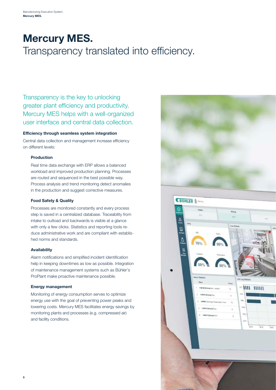## Mercury MES. Transparency translated into efficiency.

Transparency is the key to unlocking greater plant efficiency and productivity. Mercury MES helps with a well-organized user interface and central data collection.

#### Efficiency through seamless system integration

Central data collection and management increase efficiency on different levels:

#### Production

Real time data exchange with ERP allows a balanced workload and improved production planning. Processes are routed and sequenced in the best possible way. Process analysis and trend monitoring detect anomalies in the production and suggest corrective measures.

#### Food Safety & Quality

Processes are monitored constantly and every process step is saved in a centralized database. Traceability from intake to outload and backwards is visible at a glance with only a few clicks. Statistics and reporting tools reduce administrative work and are compliant with established norms and standards.

#### Availability

Alarm notifications and simplified incident identification help in keeping downtimes as low as possible. Integration of maintenance management systems such as Bühler's ProPlant make proactive maintenance possible.

#### Energy management

Monitoring of energy consumption serves to optimize energy use with the goal of preventing power peaks and lowering costs. Mercury MES facilitates energy savings by monitoring plants and processes (e.g. compressed air) and facility conditions.



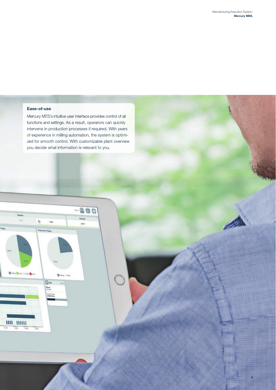6

### Ease-of-use

Mercury MES's intuitive user interface provides control of all functions and settings. As a result, operators can quickly intervene in production processes if required. With years of experience in milling automation, the system is optimized for smooth control. With customizable plant overview you decide what information is relevant to you.

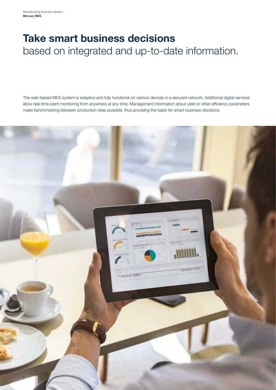### Take smart business decisions based on integrated and up-to-date information.

The web-based MES system is adaptive and fully functional on various devices in a secured network. Additional digital services allow real-time plant monitoring from anywhere at any time. Management information about yield or other efficiency parameters make benchmarking between production sites possible, thus providing the basis for smart business decisions.

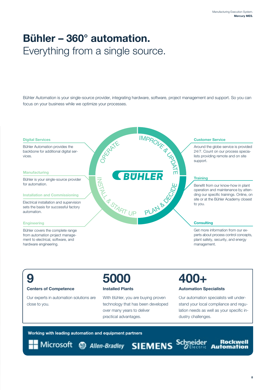### Bühler – 360° automation. Everything from a single source.

Bühler Automation is your single-source provider, integrating hardware, software, project management and support. So you can focus on your business while we optimize your processes.



# 9

Centers of Competence

Our experts in automation solutions are close to you.

## 5000

### Installed Plants

With Bühler, you are buying proven technology that has been developed over many years to deliver practical advantages.

### 400+

#### Automation Specialists

Our automation specialists will understand your local compliance and regulation needs as well as your specific industry challenges.

Working with leading automation and equipment partners

Microsoft @ Allen-Bradley SIEMENS Schneider

**Rockwell** Automation